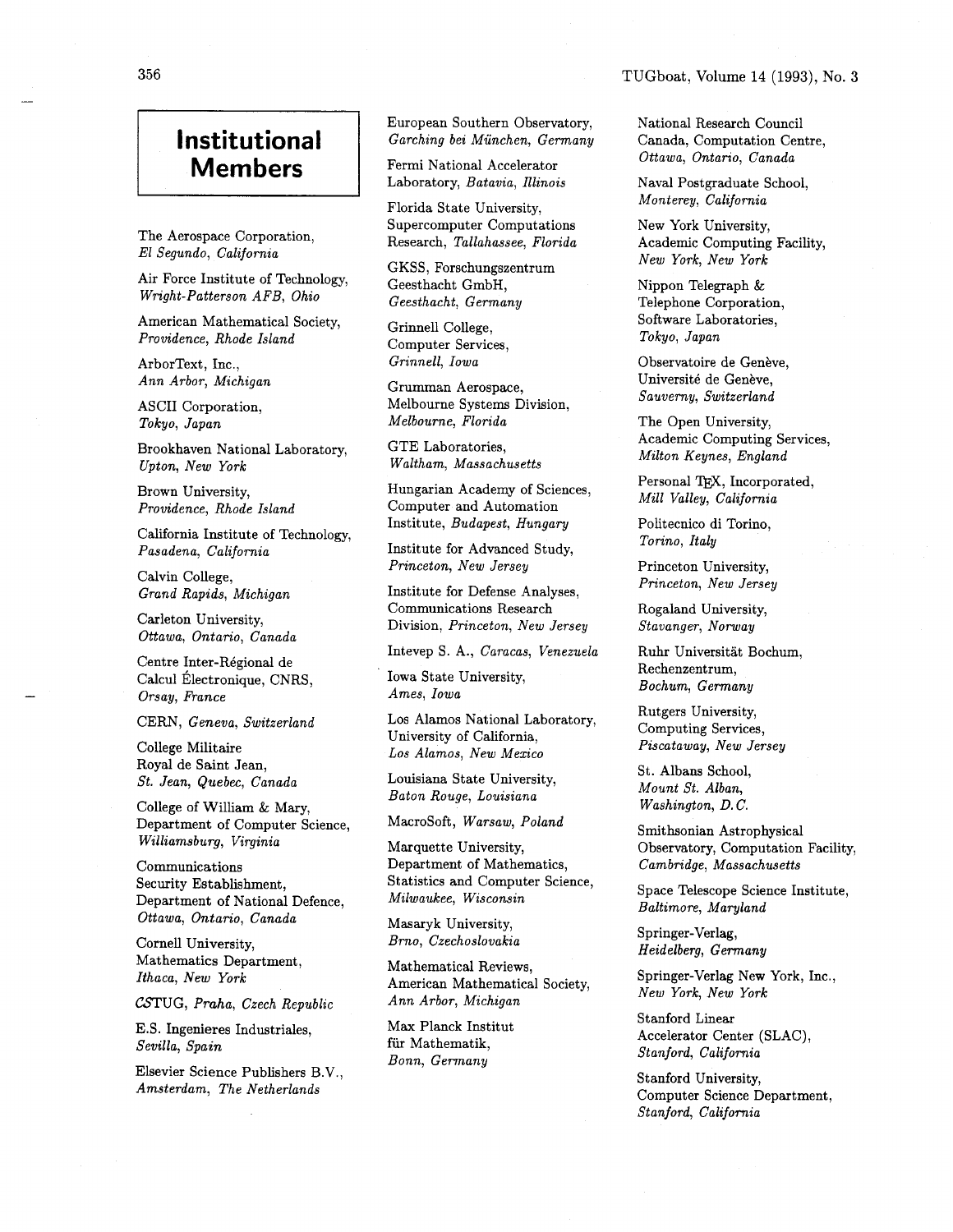## **Institutional Members**

The Aerospace Corporation, El Segundo, California

Air Force Institute of Technology, Wright-Patterson AFB, Ohio

American Mathematical Society, Providence, Rhode Island

ArborText, Inc., Ann Arbor, Michigan

ASCII Corporation, Tokyo, Japan

Brookhaven National Laboratory, Upton, New York

Brown University, Providence, Rhode Island

California Institute of Technology, Pasadena, California

Calvin College, Grand Rapids, Michigan

Carleton University, Ottawa, Ontario, Canada

Centre Inter-Régional de Calcul Électronique, CNRS, Orsay, France

CERN, Geneva, Switzerland

College Militaire Royal de Saint Jean, St. Jean, Quebec, Canada

College of William & Mary, Department of Computer Science, Williamsburg, Virginia

Communications Security Establishment, Department of National Defence, Ottawa, Ontario, Canada

Cornell University, Mathematics Department, Ithaca, New York

CSTUG, Praha, Czech Republic

E.S. Ingenieres Industriales, Sevilla, Spain

Elsevier Science Publishers B.V., Amsterdam, The Netherlands

European Southern Observatory, Garching bei Miinchen, Germany

Fermi National Accelerator Laboratory, Batavia, Illinois

Florida State University, Supercomputer Computations Research, Tallahassee, Florida

GKSS, Forschungszentrum Geesthacht GmbH, Geesthacht, Germany

Grinnell College, Computer Services, Grinnell, Iowa

Grumman Aerospace, Melbourne Systems Division, Melbourne, Florida

GTE Laboratories, Waltham, Massachusetts

Hungarian Academy of Sciences, Computer and Automation Institute, Budapest, Hungary

Institute for Advanced Study, Princeton, New Jersey

Institute for Defense Analyses, Communications Research Division, Princeton, New Jersey

Intevep S. A., Caracas, Venezuela

Iowa State University, Ames, Iowa

Los Alamos National Laboratory, University of California, Los Alamos, New Mexico

Louisiana State University, Baton Rouge, Louisiana

Macrosoft, Warsaw, Poland

Marquette University, Department of Mathematics, Statistics and Computer Science, Milwaukee, Wisconsin

Masaryk University, Brno, Czechoslovakia

Mathematical Reviews, American Mathematical Society, Ann Arbor, Michigan

Max Planck Institut fiir Mathematik, Bonn, Germany

National Research Council Canada, Computation Centre, Ottawa, Ontario, Canada

Naval Postgraduate School, Monterey, California

New York University, Academic Computing Facility, New York, New York

Nippon Telegraph & Telephone Corporation, Software Laboratories, Tokyo, Japan

Observatoire de Genève, Université de Genève, Sauverny, Switzerland

The Open University, Academic Computing Services, Milton Keynes, England

Personal TEX, Incorporated, Mill Valley, California

Politecnico di Torino, Torino, Italy

Princeton University, Princeton, New Jersey

Rogaland University, Stavanger, Norway

Ruhr Universitat Bochum, Rechenzentrum, Bochum, Germany

Rutgers University, Computing Services, Piscataway, New Jersey

St. Albans School, Mount St. Alban, Washington, D. C.

Srnithsonian Astrophysical Observatory, Computation Facility, Cambridge, Massachusetts

Space Telescope Science Institute, Baltimore, Maryland

Springer-Verlag, Heidelberg, Germany

Springer-Verlag New York, Inc., New York, New York

Stanford Linear Accelerator Center (SLAC), Stanford, California

Stanford University, Computer Science Department, Stanford, California